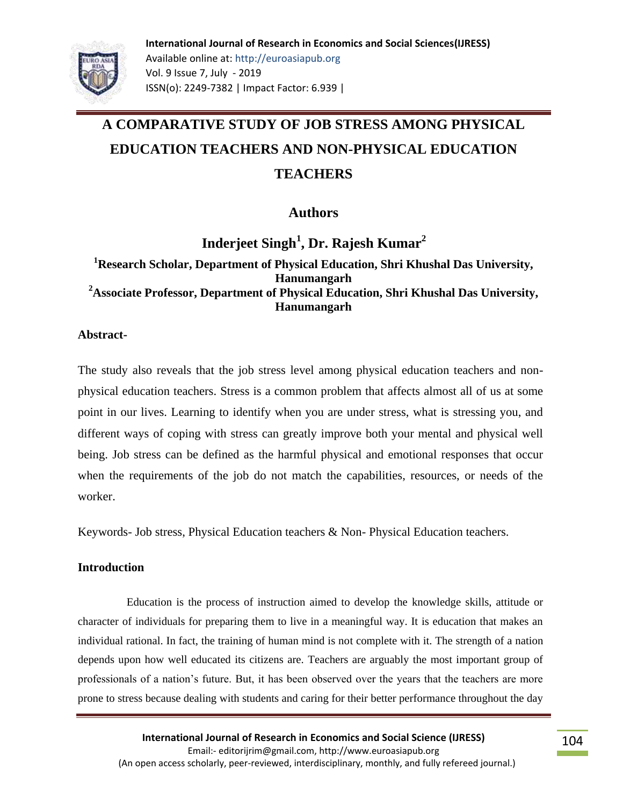**International Journal of Research in Economics and Social Sciences(IJRESS)** Available online at: http://euroasiapub.org Vol. 9 Issue 7, July - 2019 ISSN(o): 2249-7382 | Impact Factor: 6.939 |

# **A COMPARATIVE STUDY OF JOB STRESS AMONG PHYSICAL EDUCATION TEACHERS AND NON-PHYSICAL EDUCATION TEACHERS**

**Authors**

**Inderjeet Singh<sup>1</sup> , Dr. Rajesh Kumar<sup>2</sup> <sup>1</sup>Research Scholar, Department of Physical Education, Shri Khushal Das University, Hanumangarh <sup>2</sup>Associate Professor, Department of Physical Education, Shri Khushal Das University, Hanumangarh**

**Abstract-**

The study also reveals that the job stress level among physical education teachers and nonphysical education teachers. Stress is a common problem that affects almost all of us at some point in our lives. Learning to identify when you are under stress, what is stressing you, and different ways of coping with stress can greatly improve both your mental and physical well being. Job stress can be defined as the harmful physical and emotional responses that occur when the requirements of the job do not match the capabilities, resources, or needs of the worker.

Keywords- Job stress, Physical Education teachers & Non- Physical Education teachers.

# **Introduction**

 Education is the process of instruction aimed to develop the knowledge skills, attitude or character of individuals for preparing them to live in a meaningful way. It is education that makes an individual rational. In fact, the training of human mind is not complete with it. The strength of a nation depends upon how well educated its citizens are. Teachers are arguably the most important group of professionals of a nation's future. But, it has been observed over the years that the teachers are more prone to stress because dealing with students and caring for their better performance throughout the day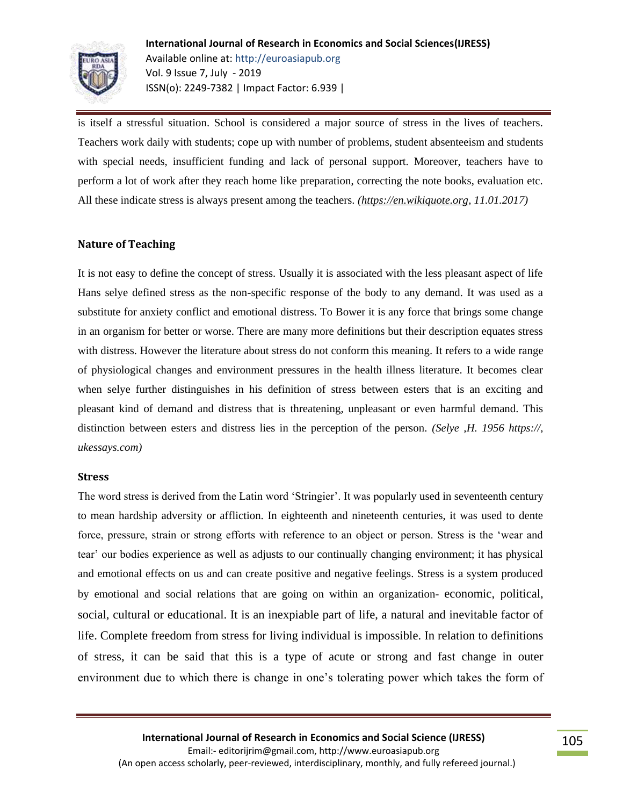

is itself a stressful situation. School is considered a major source of stress in the lives of teachers. Teachers work daily with students; cope up with number of problems, student absenteeism and students with special needs, insufficient funding and lack of personal support. Moreover, teachers have to perform a lot of work after they reach home like preparation, correcting the note books, evaluation etc. All these indicate stress is always present among the teachers. *[\(https://en.wikiquote.org, 1](https://en.wikiquote.org/)1.01.2017)*

#### **Nature of Teaching**

It is not easy to define the concept of stress. Usually it is associated with the less pleasant aspect of life Hans selye defined stress as the non-specific response of the body to any demand. It was used as a substitute for anxiety conflict and emotional distress. To Bower it is any force that brings some change in an organism for better or worse. There are many more definitions but their description equates stress with distress. However the literature about stress do not conform this meaning. It refers to a wide range of physiological changes and environment pressures in the health illness literature. It becomes clear when selye further distinguishes in his definition of stress between esters that is an exciting and pleasant kind of demand and distress that is threatening, unpleasant or even harmful demand. This distinction between esters and distress lies in the perception of the person*. (Selye ,H. 1956 https://, ukessays.com)*

#### **Stress**

The word stress is derived from the Latin word 'Stringier'. It was popularly used in seventeenth century to mean hardship adversity or affliction. In eighteenth and nineteenth centuries, it was used to dente force, pressure, strain or strong efforts with reference to an object or person. Stress is the 'wear and tear' our bodies experience as well as adjusts to our continually changing environment; it has physical and emotional effects on us and can create positive and negative feelings. Stress is a system produced by emotional and social relations that are going on within an organization- economic, political, social, cultural or educational. It is an inexpiable part of life, a natural and inevitable factor of life. Complete freedom from stress for living individual is impossible. In relation to definitions of stress, it can be said that this is a type of acute or strong and fast change in outer environment due to which there is change in one's tolerating power which takes the form of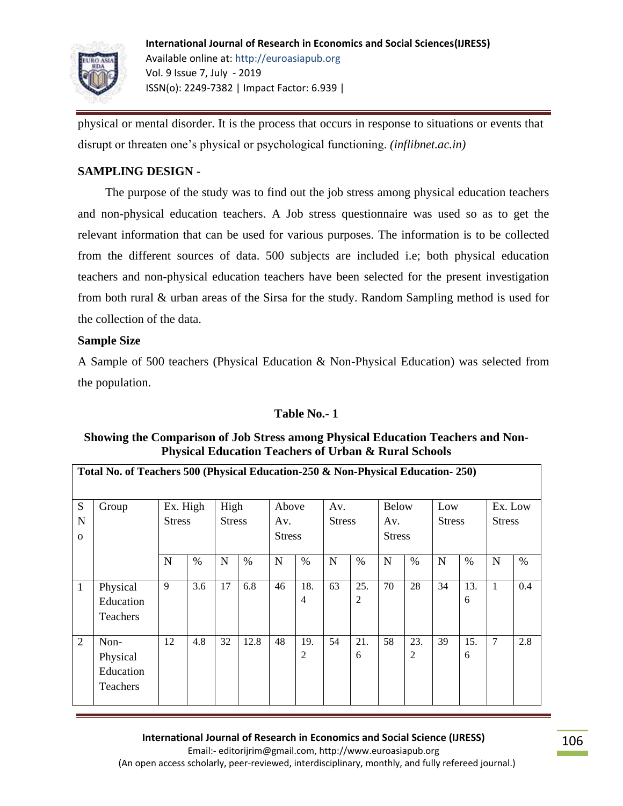

physical or mental disorder. It is the process that occurs in response to situations or events that disrupt or threaten one's physical or psychological functioning. *(inflibnet.ac.in)*

## **SAMPLING DESIGN -**

 The purpose of the study was to find out the job stress among physical education teachers and non-physical education teachers. A Job stress questionnaire was used so as to get the relevant information that can be used for various purposes. The information is to be collected from the different sources of data. 500 subjects are included i.e; both physical education teachers and non-physical education teachers have been selected for the present investigation from both rural & urban areas of the Sirsa for the study. Random Sampling method is used for the collection of the data.

### **Sample Size**

A Sample of 500 teachers (Physical Education & Non-Physical Education) was selected from the population.

### **Table No.- 1**

### **Showing the Comparison of Job Stress among Physical Education Teachers and Non-Physical Education Teachers of Urban & Rural Schools**

|                | Total No. of Teachers 500 (Physical Education-250 & Non-Physical Education-250) |                           |      |                       |      |                               |                |                      |                |                                      |                |                      |      |                          |      |
|----------------|---------------------------------------------------------------------------------|---------------------------|------|-----------------------|------|-------------------------------|----------------|----------------------|----------------|--------------------------------------|----------------|----------------------|------|--------------------------|------|
| ${\bf S}$      | Group                                                                           | Ex. High<br><b>Stress</b> |      | High<br><b>Stress</b> |      | Above<br>Av.<br><b>Stress</b> |                | Av.<br><b>Stress</b> |                | <b>Below</b><br>Av.<br><b>Stress</b> |                | Low<br><b>Stress</b> |      | Ex. Low<br><b>Stress</b> |      |
| N              |                                                                                 |                           |      |                       |      |                               |                |                      |                |                                      |                |                      |      |                          |      |
| $\mathbf{O}$   |                                                                                 |                           |      |                       |      |                               |                |                      |                |                                      |                |                      |      |                          |      |
|                |                                                                                 | N                         | $\%$ | $\mathbf N$           | $\%$ | N                             | $\%$           | N                    | $\%$           | $\mathbf N$                          | $\%$           | N                    | $\%$ | N                        | $\%$ |
| 1              | Physical                                                                        | 9                         | 3.6  | 17                    | 6.8  | 46                            | 18.            | 63                   | 25.            | 70                                   | 28             | 34                   | 13.  | 1                        | 0.4  |
|                | Education                                                                       |                           |      |                       |      |                               | $\overline{4}$ |                      | $\overline{2}$ |                                      |                |                      | 6    |                          |      |
|                | <b>Teachers</b>                                                                 |                           |      |                       |      |                               |                |                      |                |                                      |                |                      |      |                          |      |
| $\overline{2}$ | Non-                                                                            | 12                        | 4.8  | 32                    | 12.8 | 48                            | 19.            | 54                   | 21.            | 58                                   | 23.            | 39                   | 15.  | 7                        | 2.8  |
|                | Physical                                                                        |                           |      |                       |      |                               | 2              |                      | 6              |                                      | $\overline{c}$ |                      | 6    |                          |      |
|                | Education                                                                       |                           |      |                       |      |                               |                |                      |                |                                      |                |                      |      |                          |      |
|                | Teachers                                                                        |                           |      |                       |      |                               |                |                      |                |                                      |                |                      |      |                          |      |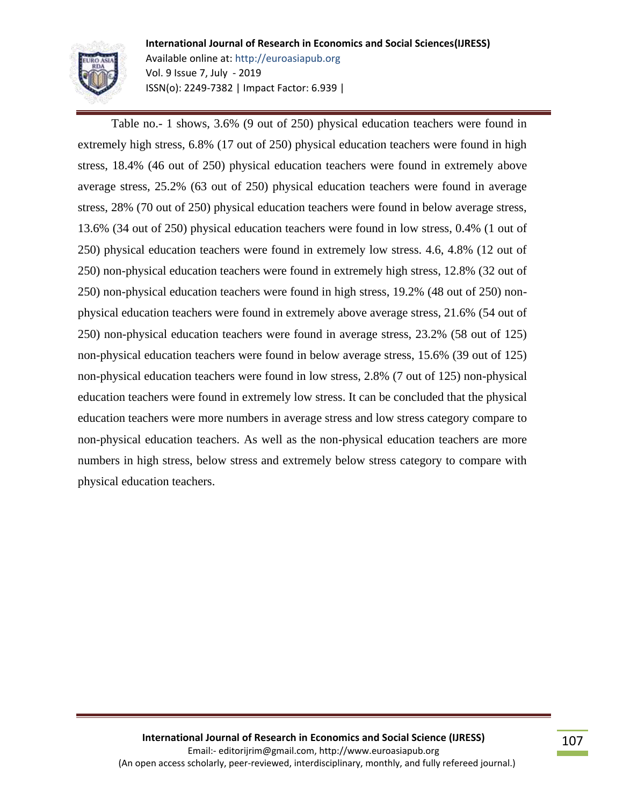

**International Journal of Research in Economics and Social Sciences(IJRESS)** Available online at: http://euroasiapub.org Vol. 9 Issue 7, July - 2019 ISSN(o): 2249-7382 | Impact Factor: 6.939 |

Table no.- 1 shows, 3.6% (9 out of 250) physical education teachers were found in extremely high stress, 6.8% (17 out of 250) physical education teachers were found in high stress, 18.4% (46 out of 250) physical education teachers were found in extremely above average stress, 25.2% (63 out of 250) physical education teachers were found in average stress, 28% (70 out of 250) physical education teachers were found in below average stress, 13.6% (34 out of 250) physical education teachers were found in low stress, 0.4% (1 out of 250) physical education teachers were found in extremely low stress. 4.6, 4.8% (12 out of 250) non-physical education teachers were found in extremely high stress, 12.8% (32 out of 250) non-physical education teachers were found in high stress, 19.2% (48 out of 250) nonphysical education teachers were found in extremely above average stress, 21.6% (54 out of 250) non-physical education teachers were found in average stress, 23.2% (58 out of 125) non-physical education teachers were found in below average stress, 15.6% (39 out of 125) non-physical education teachers were found in low stress, 2.8% (7 out of 125) non-physical education teachers were found in extremely low stress. It can be concluded that the physical education teachers were more numbers in average stress and low stress category compare to non-physical education teachers. As well as the non-physical education teachers are more numbers in high stress, below stress and extremely below stress category to compare with physical education teachers.

107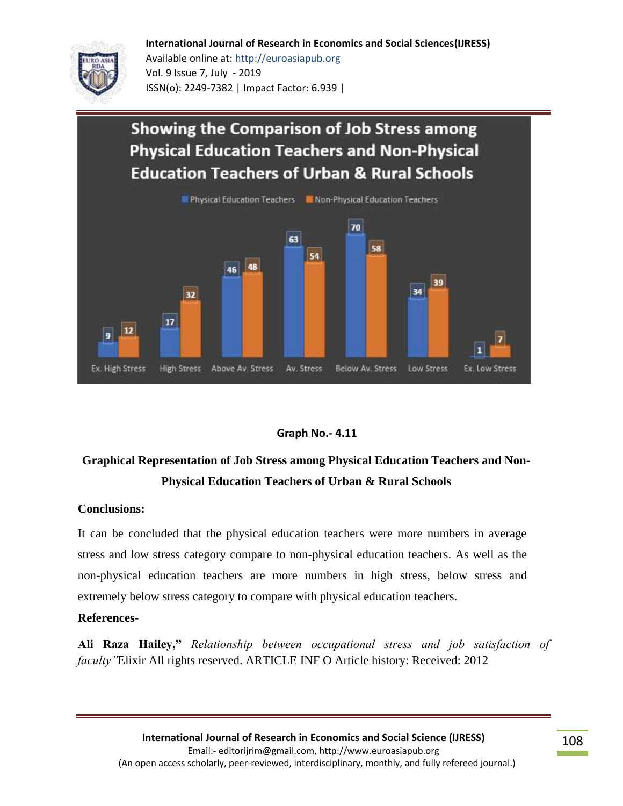#### **International Journal of Research in Economics and Social Sciences(IJRESS)**



Available online at: http://euroasiapub.org Vol. 9 Issue 7, July - 2019 ISSN(o): 2249-7382 | Impact Factor: 6.939 |

# **Showing the Comparison of Job Stress among Physical Education Teachers and Non-Physical Education Teachers of Urban & Rural Schools**



### **Graph No.- 4.11**

# **Graphical Representation of Job Stress among Physical Education Teachers and Non-Physical Education Teachers of Urban & Rural Schools**

### **Conclusions:**

It can be concluded that the physical education teachers were more numbers in average stress and low stress category compare to non-physical education teachers. As well as the non-physical education teachers are more numbers in high stress, below stress and extremely below stress category to compare with physical education teachers.

#### **References-**

**Ali Raza Hailey,"** *Relationship between occupational stress and job satisfaction of faculty"*Elixir All rights reserved. ARTICLE INF O Article history: Received: 2012